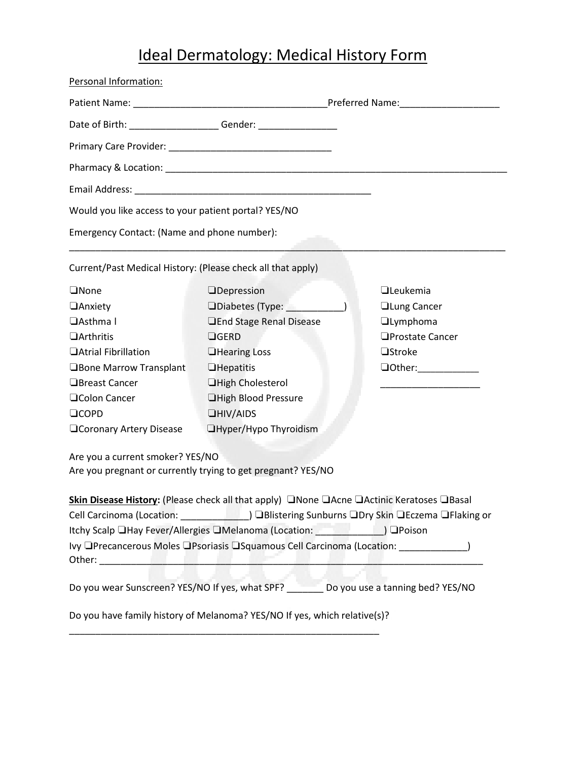## Ideal Dermatology: Medical History Form

| Personal Information:                                       |                                                                                           |                    |
|-------------------------------------------------------------|-------------------------------------------------------------------------------------------|--------------------|
|                                                             |                                                                                           |                    |
|                                                             | Date of Birth: ___________________________Gender: ______________________________          |                    |
|                                                             |                                                                                           |                    |
|                                                             |                                                                                           |                    |
|                                                             |                                                                                           |                    |
| Would you like access to your patient portal? YES/NO        |                                                                                           |                    |
| Emergency Contact: (Name and phone number):                 |                                                                                           |                    |
| Current/Past Medical History: (Please check all that apply) |                                                                                           |                    |
| <b>ONone</b>                                                | <b>O</b> pepression                                                                       | $\Box$ Leukemia    |
| <b>Anxiety</b>                                              | □Diabetes (Type: <u>________</u>                                                          | <b>Lung Cancer</b> |
| □Asthma I                                                   | <b>JEnd Stage Renal Disease</b>                                                           | <b>Ilymphoma</b>   |
| <b>OArthritis</b>                                           | $\Box$ GERD                                                                               | □Prostate Cancer   |
| <b>Atrial Fibrillation</b>                                  | <b>Hearing Loss</b>                                                                       | <b>Ostroke</b>     |
| □Bone Marrow Transplant                                     | $\Box$ Hepatitis                                                                          |                    |
| □Breast Cancer                                              | <b>High Cholesterol</b>                                                                   |                    |
| <b>QColon Cancer</b>                                        | <b>High Blood Pressure</b>                                                                |                    |
| $\Box$ COPD                                                 | $\Box$ HIV/AIDS                                                                           |                    |
| <b>QCoronary Artery Disease</b>                             | □Hyper/Hypo Thyroidism                                                                    |                    |
| Are you a current smoker? YES/NO                            | Are you pregnant or currently trying to get pregnant? YES/NO                              |                    |
|                                                             | Skin Disease History: (Please check all that apply) □None □Acne □Actinic Keratoses □Basal |                    |
|                                                             |                                                                                           |                    |
|                                                             | Itchy Scalp LHay Fever/Allergies LIMelanoma (Location: 1999) DPoison                      |                    |
|                                                             |                                                                                           |                    |
|                                                             | Do you wear Sunscreen? YES/NO If yes, what SPF? ________ Do you use a tanning bed? YES/NO |                    |
|                                                             | Do you have family history of Melanoma? YES/NO If yes, which relative(s)?                 |                    |